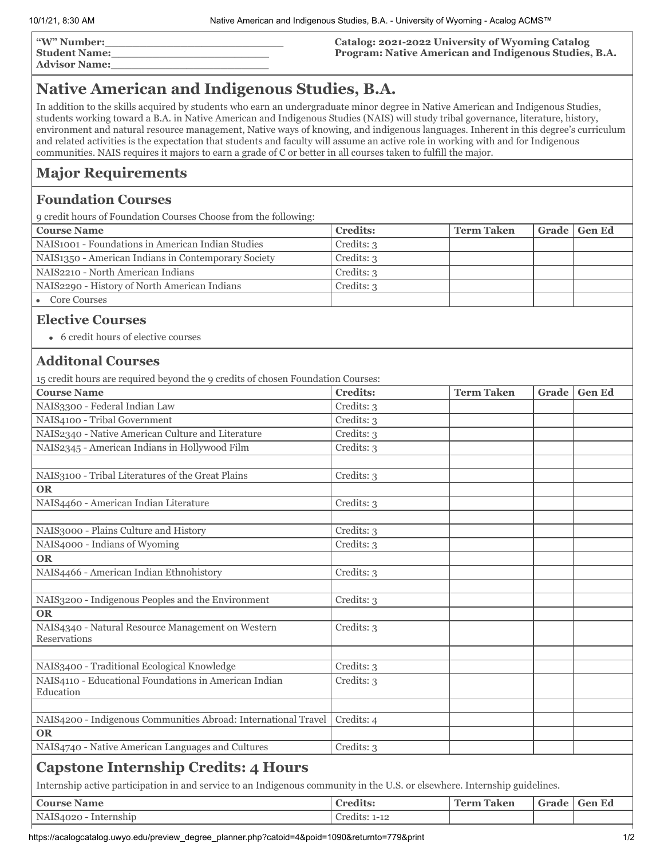| "W" Number:          |  |
|----------------------|--|
| <b>Student Name:</b> |  |
| Advisor Nomes        |  |

**Advisor Name:\_\_\_\_\_\_\_\_\_\_\_\_\_\_\_\_\_\_\_\_\_\_\_**

#### **Catalog: 2021-2022 University of Wyoming Catalog Program: Native American and Indigenous Studies, B.A.**

# **Native American and Indigenous Studies, B.A.**

In addition to the skills acquired by students who earn an undergraduate minor degree in Native American and Indigenous Studies, students working toward a B.A. in Native American and Indigenous Studies (NAIS) will study tribal governance, literature, history, environment and natural resource management, Native ways of knowing, and indigenous languages. Inherent in this degree's curriculum and related activities is the expectation that students and faculty will assume an active role in working with and for Indigenous communities. NAIS requires it majors to earn a grade of C or better in all courses taken to fulfill the major.

### **Major Requirements**

#### **Foundation Courses**

9 credit hours of Foundation Courses Choose from the following:

| <b>Course Name</b>                                  | <b>Credits:</b> | <b>Term Taken</b> | Grade   Gen Ed |
|-----------------------------------------------------|-----------------|-------------------|----------------|
| NAIS1001 - Foundations in American Indian Studies   | Credits: 3      |                   |                |
| NAIS1350 - American Indians in Contemporary Society | Credits: 3      |                   |                |
| NAIS2210 - North American Indians                   | Credits: 3      |                   |                |
| NAIS2290 - History of North American Indians        | Credits: 3      |                   |                |
| Core Courses                                        |                 |                   |                |

#### **Elective Courses**

6 credit hours of elective courses

### **Additonal Courses**

15 credit hours are required beyond the 9 credits of chosen Foundation Courses:

| <b>Course Name</b>                                                                                                         | <b>Credits:</b> | <b>Term Taken</b> | Grade | <b>Gen Ed</b> |  |  |
|----------------------------------------------------------------------------------------------------------------------------|-----------------|-------------------|-------|---------------|--|--|
| NAIS3300 - Federal Indian Law                                                                                              | Credits: 3      |                   |       |               |  |  |
| NAIS4100 - Tribal Government                                                                                               | Credits: 3      |                   |       |               |  |  |
| NAIS2340 - Native American Culture and Literature                                                                          | Credits: 3      |                   |       |               |  |  |
| NAIS2345 - American Indians in Hollywood Film                                                                              | Credits: 3      |                   |       |               |  |  |
|                                                                                                                            |                 |                   |       |               |  |  |
| NAIS3100 - Tribal Literatures of the Great Plains                                                                          | Credits: 3      |                   |       |               |  |  |
| <b>OR</b>                                                                                                                  |                 |                   |       |               |  |  |
| NAIS4460 - American Indian Literature                                                                                      | Credits: 3      |                   |       |               |  |  |
|                                                                                                                            |                 |                   |       |               |  |  |
| NAIS3000 - Plains Culture and History                                                                                      | Credits: 3      |                   |       |               |  |  |
| NAIS4000 - Indians of Wyoming                                                                                              | Credits: 3      |                   |       |               |  |  |
| <b>OR</b>                                                                                                                  |                 |                   |       |               |  |  |
| NAIS4466 - American Indian Ethnohistory                                                                                    | Credits: 3      |                   |       |               |  |  |
|                                                                                                                            |                 |                   |       |               |  |  |
| NAIS3200 - Indigenous Peoples and the Environment                                                                          | Credits: 3      |                   |       |               |  |  |
| <b>OR</b>                                                                                                                  |                 |                   |       |               |  |  |
| NAIS4340 - Natural Resource Management on Western                                                                          | Credits: 3      |                   |       |               |  |  |
| Reservations                                                                                                               |                 |                   |       |               |  |  |
|                                                                                                                            |                 |                   |       |               |  |  |
| NAIS3400 - Traditional Ecological Knowledge<br>NAIS4110 - Educational Foundations in American Indian                       | Credits: 3      |                   |       |               |  |  |
| Education                                                                                                                  | Credits: 3      |                   |       |               |  |  |
|                                                                                                                            |                 |                   |       |               |  |  |
| NAIS4200 - Indigenous Communities Abroad: International Travel                                                             | Credits: 4      |                   |       |               |  |  |
| <b>OR</b>                                                                                                                  |                 |                   |       |               |  |  |
| NAIS4740 - Native American Languages and Cultures                                                                          | Credits: 3      |                   |       |               |  |  |
| <b>Capstone Internship Credits: 4 Hours</b>                                                                                |                 |                   |       |               |  |  |
| Internship active participation in and service to an Indigenous community in the U.S. or elsewhere. Internship guidelines. |                 |                   |       |               |  |  |
| <b>Course Name</b>                                                                                                         | <b>Credits:</b> | <b>Term Taken</b> | Grade | <b>Gen Ed</b> |  |  |

NAIS4020 - Internship Credits: 1-12